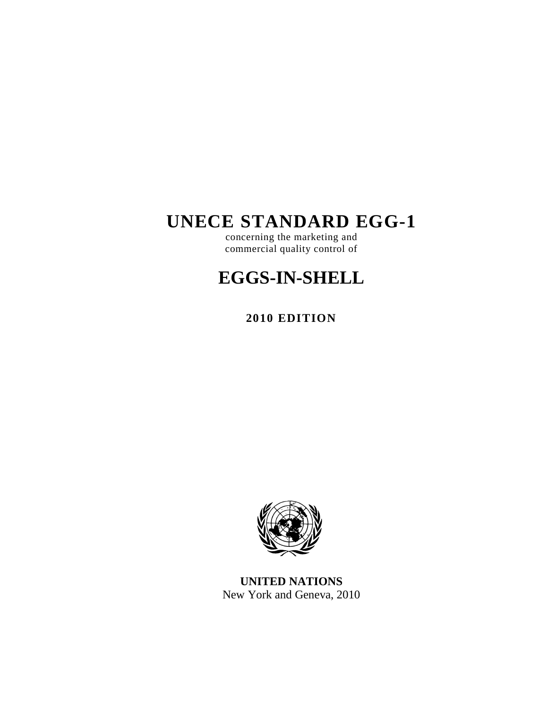# **UNECE STANDARD EGG-1**

concerning the marketing and commercial quality control of

# **EGGS-IN-SHELL**

**2010 EDITION** 



**UNITED NATIONS**  New York and Geneva, 2010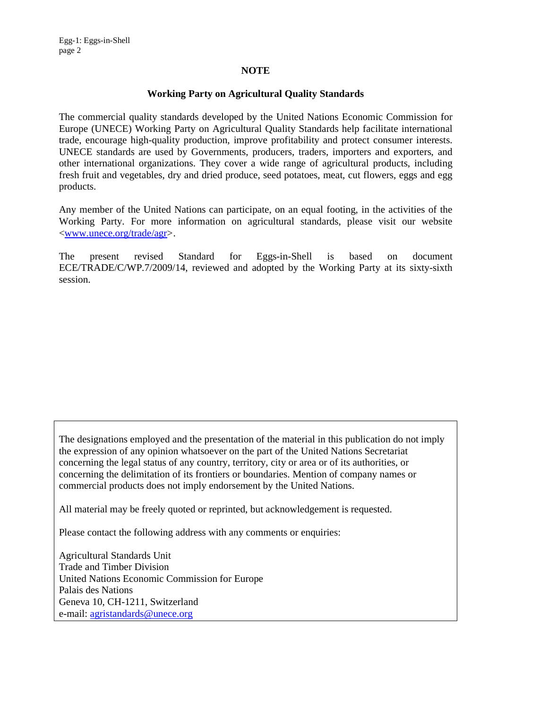#### **NOTE**

#### **Working Party on Agricultural Quality Standards**

The commercial quality standards developed by the United Nations Economic Commission for Europe (UNECE) Working Party on Agricultural Quality Standards help facilitate international trade, encourage high-quality production, improve profitability and protect consumer interests. UNECE standards are used by Governments, producers, traders, importers and exporters, and other international organizations. They cover a wide range of agricultural products, including fresh fruit and vegetables, dry and dried produce, seed potatoes, meat, cut flowers, eggs and egg products.

Any member of the United Nations can participate, on an equal footing, in the activities of the Working Party. For more information on agricultural standards, please visit our website <www.unece.org/trade/agr>.

The present revised Standard for Eggs-in-Shell is based on document ECE/TRADE/C/WP.7/2009/14, reviewed and adopted by the Working Party at its sixty-sixth session.

The designations employed and the presentation of the material in this publication do not imply the expression of any opinion whatsoever on the part of the United Nations Secretariat concerning the legal status of any country, territory, city or area or of its authorities, or concerning the delimitation of its frontiers or boundaries. Mention of company names or commercial products does not imply endorsement by the United Nations.

All material may be freely quoted or reprinted, but acknowledgement is requested.

Please contact the following address with any comments or enquiries:

Agricultural Standards Unit Trade and Timber Division United Nations Economic Commission for Europe Palais des Nations Geneva 10, CH-1211, Switzerland e-mail: agristandards@unece.org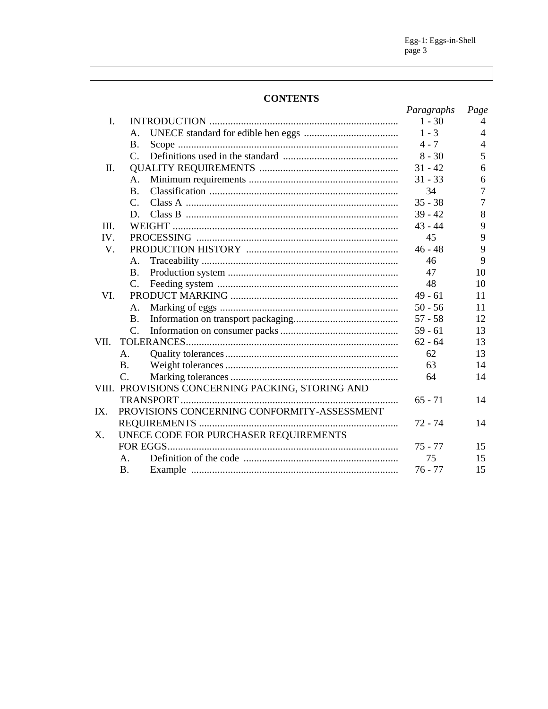$Egg-1: Eggs-in-Shell  
page 3$ 

# **CONTENTS**

|          |                 |                                                  | Paragraphs | Page           |
|----------|-----------------|--------------------------------------------------|------------|----------------|
| I.       |                 |                                                  | $1 - 30$   | 4              |
|          | А.              |                                                  | $1 - 3$    | $\overline{4}$ |
|          | Β.              |                                                  | $4 - 7$    | 4              |
|          | $\mathcal{C}$ . |                                                  | $8 - 30$   | 5              |
| $\Pi$ .  |                 |                                                  | $31 - 42$  | 6              |
|          | A.              |                                                  | $31 - 33$  | 6              |
|          | <b>B.</b>       |                                                  | 34         | $\overline{7}$ |
|          | C.              |                                                  | $35 - 38$  | $\overline{7}$ |
|          | D.              |                                                  | $39 - 42$  | 8              |
| III.     |                 |                                                  | $43 - 44$  | 9              |
| $IV_{-}$ |                 |                                                  | 45         | 9              |
| V.       |                 |                                                  | $46 - 48$  | 9              |
|          | A.              |                                                  | 46         | 9              |
|          | <b>B.</b>       |                                                  | 47         | 10             |
|          | $\mathsf{C}$ .  |                                                  | 48         | 10             |
| VI.      |                 |                                                  | $49 - 61$  | 11             |
|          | Α.              |                                                  | $50 - 56$  | 11             |
|          | <b>B.</b>       |                                                  | $57 - 58$  | 12             |
|          | $\mathcal{C}$ . |                                                  | $59 - 61$  | 13             |
| VII.     |                 |                                                  | $62 - 64$  | 13             |
|          | A.              |                                                  | 62         | 13             |
|          | <b>B.</b>       |                                                  | 63         | 14             |
|          | $\mathcal{C}$ . |                                                  | 64         | 14             |
|          |                 | VIII. PROVISIONS CONCERNING PACKING, STORING AND |            |                |
|          |                 |                                                  | $65 - 71$  | 14             |
| IX.      |                 | PROVISIONS CONCERNING CONFORMITY-ASSESSMENT      |            |                |
|          |                 |                                                  | 72 - 74    | 14             |
| Χ.       |                 | UNECE CODE FOR PURCHASER REQUIREMENTS            |            |                |
|          |                 |                                                  | $75 - 77$  | 15             |
|          | $\mathsf{A}$ .  |                                                  | 75         | 15             |
|          | <b>B.</b>       |                                                  | $76 - 77$  | 15             |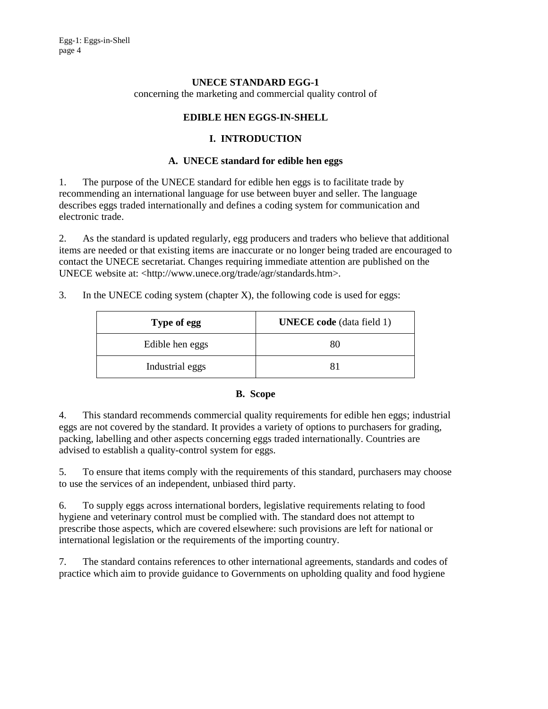# **UNECE STANDARD EGG-1**

concerning the marketing and commercial quality control of

# **EDIBLE HEN EGGS-IN-SHELL**

# **I. INTRODUCTION**

#### **A. UNECE standard for edible hen eggs**

1. The purpose of the UNECE standard for edible hen eggs is to facilitate trade by recommending an international language for use between buyer and seller. The language describes eggs traded internationally and defines a coding system for communication and electronic trade.

2. As the standard is updated regularly, egg producers and traders who believe that additional items are needed or that existing items are inaccurate or no longer being traded are encouraged to contact the UNECE secretariat. Changes requiring immediate attention are published on the UNECE website at: <http://www.unece.org/trade/agr/standards.htm>.

|  |  | In the UNECE coding system (chapter $X$ ), the following code is used for eggs: |  |
|--|--|---------------------------------------------------------------------------------|--|
|  |  |                                                                                 |  |

| Type of egg     | <b>UNECE</b> code (data field 1) |
|-----------------|----------------------------------|
| Edible hen eggs | 80                               |
| Industrial eggs | 81                               |

#### **B. Scope**

4. This standard recommends commercial quality requirements for edible hen eggs; industrial eggs are not covered by the standard. It provides a variety of options to purchasers for grading, packing, labelling and other aspects concerning eggs traded internationally. Countries are advised to establish a quality-control system for eggs.

5. To ensure that items comply with the requirements of this standard, purchasers may choose to use the services of an independent, unbiased third party.

6. To supply eggs across international borders, legislative requirements relating to food hygiene and veterinary control must be complied with. The standard does not attempt to prescribe those aspects, which are covered elsewhere: such provisions are left for national or international legislation or the requirements of the importing country.

7. The standard contains references to other international agreements, standards and codes of practice which aim to provide guidance to Governments on upholding quality and food hygiene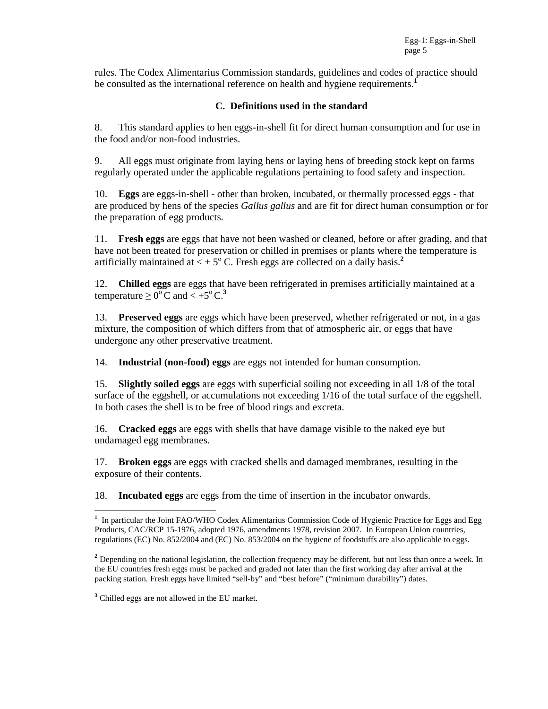rules. The Codex Alimentarius Commission standards, guidelines and codes of practice should be consulted as the international reference on health and hygiene requirements.<sup>1</sup>

### **C. Definitions used in the standard**

8. This standard applies to hen eggs-in-shell fit for direct human consumption and for use in the food and/or non-food industries.

9. All eggs must originate from laying hens or laying hens of breeding stock kept on farms regularly operated under the applicable regulations pertaining to food safety and inspection.

10. **Eggs** are eggs-in-shell - other than broken, incubated, or thermally processed eggs - that are produced by hens of the species *Gallus gallus* and are fit for direct human consumption or for the preparation of egg products.

11. **Fresh eggs** are eggs that have not been washed or cleaned, before or after grading, and that have not been treated for preservation or chilled in premises or plants where the temperature is artificially maintained at  $\lt + 5^\circ$  C. Fresh eggs are collected on a daily basis.<sup>2</sup>

12. **Chilled eggs** are eggs that have been refrigerated in premises artificially maintained at a temperature  $\geq 0^{\circ}$  C and  $\lt +5^{\circ}$  C.<sup>3</sup>

13. **Preserved eggs** are eggs which have been preserved, whether refrigerated or not, in a gas mixture, the composition of which differs from that of atmospheric air, or eggs that have undergone any other preservative treatment.

14. **Industrial (non-food) eggs** are eggs not intended for human consumption.

15. **Slightly soiled eggs** are eggs with superficial soiling not exceeding in all 1/8 of the total surface of the eggshell, or accumulations not exceeding 1/16 of the total surface of the eggshell. In both cases the shell is to be free of blood rings and excreta.

16. **Cracked eggs** are eggs with shells that have damage visible to the naked eye but undamaged egg membranes.

17. **Broken eggs** are eggs with cracked shells and damaged membranes, resulting in the exposure of their contents.

18. **Incubated eggs** are eggs from the time of insertion in the incubator onwards.

 $\overline{a}$ 

<sup>&</sup>lt;sup>1</sup> In particular the Joint FAO/WHO Codex Alimentarius Commission Code of Hygienic Practice for Eggs and Egg Products, CAC/RCP 15-1976, adopted 1976, amendments 1978, revision 2007. In European Union countries, regulations (EC) No. 852/2004 and (EC) No. 853/2004 on the hygiene of foodstuffs are also applicable to eggs.

<sup>&</sup>lt;sup>2</sup> Depending on the national legislation, the collection frequency may be different, but not less than once a week. In the EU countries fresh eggs must be packed and graded not later than the first working day after arrival at the packing station. Fresh eggs have limited "sell-by" and "best before" ("minimum durability") dates.

<sup>&</sup>lt;sup>3</sup> Chilled eggs are not allowed in the EU market.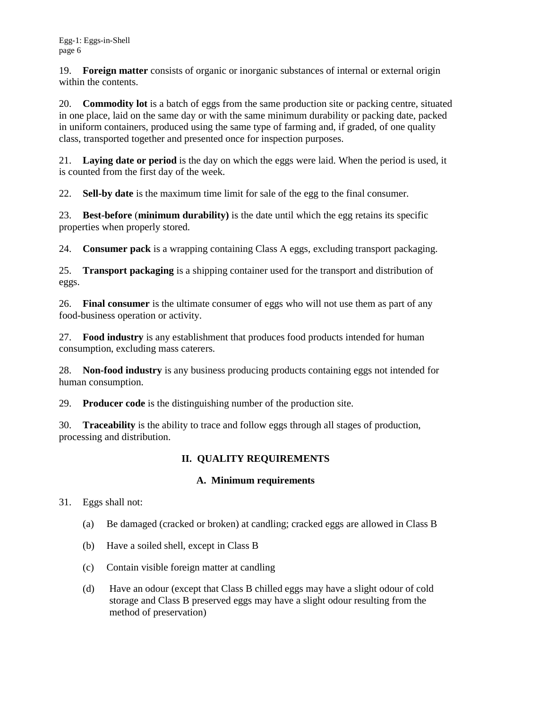19. **Foreign matter** consists of organic or inorganic substances of internal or external origin within the contents.

20. **Commodity lot** is a batch of eggs from the same production site or packing centre, situated in one place, laid on the same day or with the same minimum durability or packing date, packed in uniform containers, produced using the same type of farming and, if graded, of one quality class, transported together and presented once for inspection purposes.

21. **Laying date or period** is the day on which the eggs were laid. When the period is used, it is counted from the first day of the week.

22. **Sell-by date** is the maximum time limit for sale of the egg to the final consumer.

23. **Best-before** (**minimum durability)** is the date until which the egg retains its specific properties when properly stored.

24. **Consumer pack** is a wrapping containing Class A eggs, excluding transport packaging.

25. **Transport packaging** is a shipping container used for the transport and distribution of eggs.

26. **Final consumer** is the ultimate consumer of eggs who will not use them as part of any food-business operation or activity.

27. **Food industry** is any establishment that produces food products intended for human consumption, excluding mass caterers.

28. **Non-food industry** is any business producing products containing eggs not intended for human consumption.

29. **Producer code** is the distinguishing number of the production site.

30. **Traceability** is the ability to trace and follow eggs through all stages of production, processing and distribution.

# **II. QUALITY REQUIREMENTS**

# **A. Minimum requirements**

31. Eggs shall not:

- (a) Be damaged (cracked or broken) at candling; cracked eggs are allowed in Class B
- (b) Have a soiled shell, except in Class B
- (c) Contain visible foreign matter at candling
- (d) Have an odour (except that Class B chilled eggs may have a slight odour of cold storage and Class B preserved eggs may have a slight odour resulting from the method of preservation)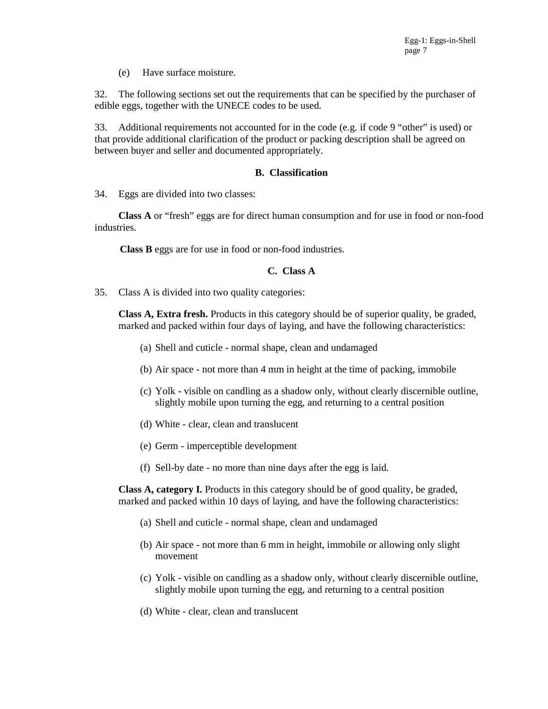(e) Have surface moisture.

32. The following sections set out the requirements that can be specified by the purchaser of edible eggs, together with the UNECE codes to be used.

33. Additional requirements not accounted for in the code (e.g. if code 9 "other" is used) or that provide additional clarification of the product or packing description shall be agreed on between buyer and seller and documented appropriately.

#### **B. Classification**

34. Eggs are divided into two classes:

**Class A** or "fresh" eggs are for direct human consumption and for use in food or non-food industries.

**Class B** eggs are for use in food or non-food industries.

#### **C. Class A**

35. Class A is divided into two quality categories:

**Class A, Extra fresh.** Products in this category should be of superior quality, be graded, marked and packed within four days of laying, and have the following characteristics:

- (a) Shell and cuticle normal shape, clean and undamaged
- (b) Air space not more than 4 mm in height at the time of packing, immobile
- (c) Yolk visible on candling as a shadow only, without clearly discernible outline, slightly mobile upon turning the egg, and returning to a central position
- (d) White clear, clean and translucent
- (e) Germ imperceptible development
- (f) Sell-by date no more than nine days after the egg is laid.

**Class A, category I.** Products in this category should be of good quality, be graded, marked and packed within 10 days of laying, and have the following characteristics:

- (a) Shell and cuticle normal shape, clean and undamaged
- (b) Air space not more than 6 mm in height, immobile or allowing only slight movement
- (c) Yolk visible on candling as a shadow only, without clearly discernible outline, slightly mobile upon turning the egg, and returning to a central position
- (d) White clear, clean and translucent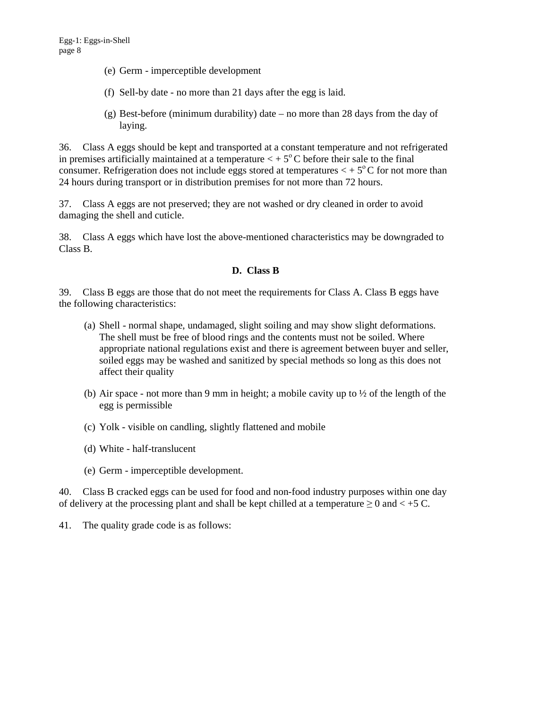- (e) Germ imperceptible development
- (f) Sell-by date no more than 21 days after the egg is laid.
- (g) Best-before (minimum durability) date no more than 28 days from the day of laying.

36. Class A eggs should be kept and transported at a constant temperature and not refrigerated in premises artificially maintained at a temperature  $\lt + 5^{\circ}$ C before their sale to the final consumer. Refrigeration does not include eggs stored at temperatures  $\lt$  +  $5^{\circ}$ C for not more than 24 hours during transport or in distribution premises for not more than 72 hours.

37. Class A eggs are not preserved; they are not washed or dry cleaned in order to avoid damaging the shell and cuticle.

38. Class A eggs which have lost the above-mentioned characteristics may be downgraded to Class B.

# **D. Class B**

39. Class B eggs are those that do not meet the requirements for Class A. Class B eggs have the following characteristics:

- (a) Shell normal shape, undamaged, slight soiling and may show slight deformations. The shell must be free of blood rings and the contents must not be soiled. Where appropriate national regulations exist and there is agreement between buyer and seller, soiled eggs may be washed and sanitized by special methods so long as this does not affect their quality
- (b) Air space not more than 9 mm in height; a mobile cavity up to ½ of the length of the egg is permissible
- (c) Yolk visible on candling, slightly flattened and mobile
- (d) White half-translucent
- (e) Germ imperceptible development.

40. Class B cracked eggs can be used for food and non-food industry purposes within one day of delivery at the processing plant and shall be kept chilled at a temperature  $\geq 0$  and  $\lt +5$  C.

41. The quality grade code is as follows: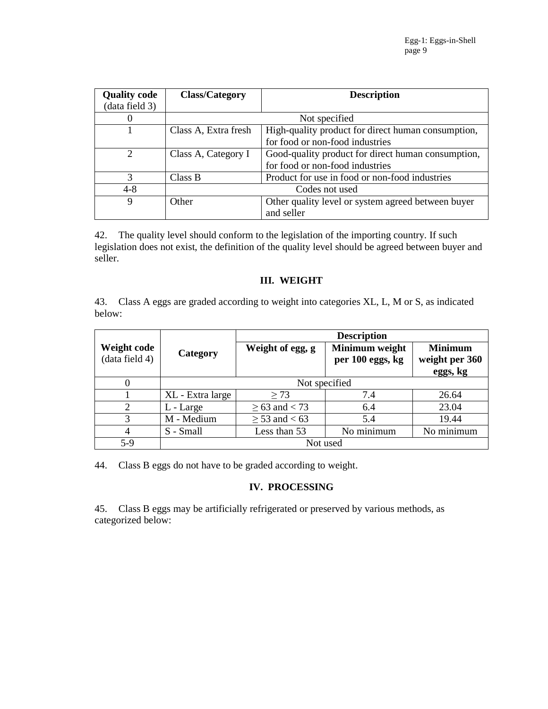| <b>Quality code</b> | <b>Class/Category</b>                                       | <b>Description</b>                                 |  |
|---------------------|-------------------------------------------------------------|----------------------------------------------------|--|
| (data field 3)      |                                                             |                                                    |  |
|                     |                                                             | Not specified                                      |  |
|                     | Class A, Extra fresh                                        | High-quality product for direct human consumption, |  |
|                     |                                                             | for food or non-food industries                    |  |
| $\mathfrak{D}$      | Class A, Category I                                         | Good-quality product for direct human consumption, |  |
|                     |                                                             | for food or non-food industries                    |  |
| 3                   | Class B                                                     | Product for use in food or non-food industries     |  |
| $4 - 8$             | Codes not used                                              |                                                    |  |
| 9                   | Other quality level or system agreed between buyer<br>Other |                                                    |  |
|                     |                                                             | and seller                                         |  |

42. The quality level should conform to the legislation of the importing country. If such legislation does not exist, the definition of the quality level should be agreed between buyer and seller.

# **III. WEIGHT**

43. Class A eggs are graded according to weight into categories XL, L, M or S, as indicated below:

|                               |                  | <b>Description</b>   |                                    |                                              |  |
|-------------------------------|------------------|----------------------|------------------------------------|----------------------------------------------|--|
| Weight code<br>(data field 4) | Category         | Weight of egg, g     | Minimum weight<br>per 100 eggs, kg | <b>Minimum</b><br>weight per 360<br>eggs, kg |  |
| 0                             | Not specified    |                      |                                    |                                              |  |
|                               | XL - Extra large | $\geq$ 73            | 7.4                                | 26.64                                        |  |
| $\overline{2}$                | L - Large        | $\geq 63$ and $< 73$ | 6.4                                | 23.04                                        |  |
| 3                             | M - Medium       | $\geq$ 53 and < 63   | 5.4                                | 19.44                                        |  |
| 4                             | S - Small        | Less than 53         | No minimum                         | No minimum                                   |  |
| $5-9$                         | Not used         |                      |                                    |                                              |  |

44. Class B eggs do not have to be graded according to weight.

### **IV. PROCESSING**

45. Class B eggs may be artificially refrigerated or preserved by various methods, as categorized below: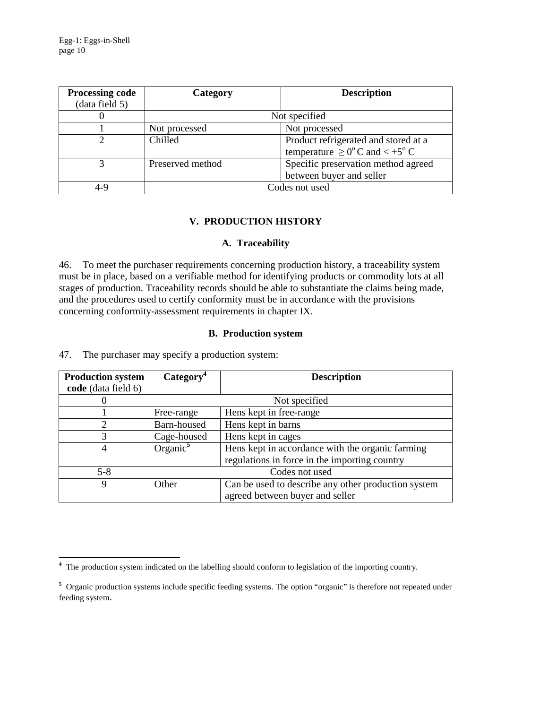| <b>Processing code</b><br>(data field 5) | Category         | <b>Description</b>                                                                            |
|------------------------------------------|------------------|-----------------------------------------------------------------------------------------------|
|                                          |                  | Not specified                                                                                 |
|                                          | Not processed    | Not processed                                                                                 |
|                                          | Chilled          | Product refrigerated and stored at a<br>temperature $\geq 0^{\circ}$ C and $\lt +5^{\circ}$ C |
|                                          | Preserved method | Specific preservation method agreed<br>between buyer and seller                               |
| 4-9                                      |                  | Codes not used                                                                                |

# **V. PRODUCTION HISTORY**

# **A. Traceability**

46. To meet the purchaser requirements concerning production history, a traceability system must be in place, based on a verifiable method for identifying products or commodity lots at all stages of production. Traceability records should be able to substantiate the claims being made, and the procedures used to certify conformity must be in accordance with the provisions concerning conformity-assessment requirements in chapter IX.

# **B. Production system**

47. The purchaser may specify a production system:

| <b>Production system</b> | Category <sup>4</sup>             | <b>Description</b>                                  |
|--------------------------|-----------------------------------|-----------------------------------------------------|
| code (data field 6)      |                                   |                                                     |
|                          |                                   | Not specified                                       |
|                          | Free-range                        | Hens kept in free-range                             |
| 2                        | Barn-housed                       | Hens kept in barns                                  |
| 3                        | Hens kept in cages<br>Cage-housed |                                                     |
| 4                        | Organic $5$                       | Hens kept in accordance with the organic farming    |
|                          |                                   | regulations in force in the importing country       |
| $5 - 8$                  |                                   | Codes not used                                      |
| 9                        | Other                             | Can be used to describe any other production system |
|                          |                                   | agreed between buyer and seller                     |

<sup>&</sup>lt;sup>4</sup> The production system indicated on the labelling should conform to legislation of the importing country.

<sup>&</sup>lt;sup>5</sup> Organic production systems include specific feeding systems. The option "organic" is therefore not repeated under feeding system.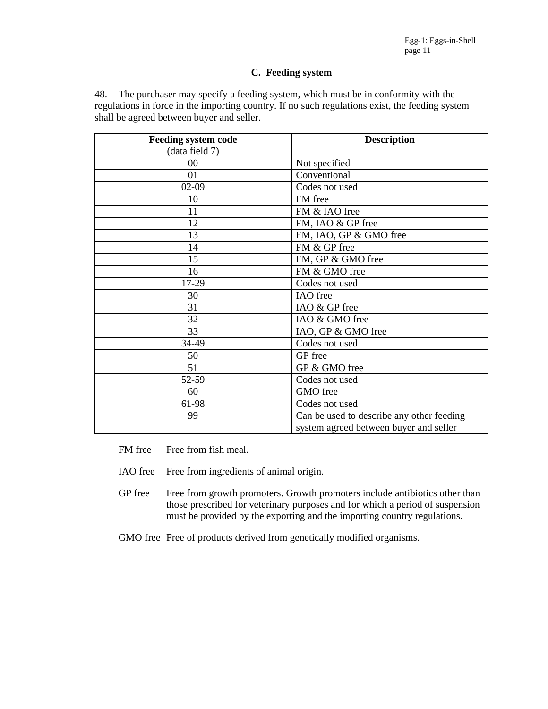#### **C. Feeding system**

48. The purchaser may specify a feeding system, which must be in conformity with the regulations in force in the importing country. If no such regulations exist, the feeding system shall be agreed between buyer and seller.

| <b>Feeding system code</b> | <b>Description</b>                        |
|----------------------------|-------------------------------------------|
| (data field 7)             |                                           |
| $00\,$                     | Not specified                             |
| 01                         | Conventional                              |
| $02-09$                    | Codes not used                            |
| 10                         | FM free                                   |
| 11                         | FM & IAO free                             |
| 12                         | FM, IAO & GP free                         |
| 13                         | FM, IAO, GP & GMO free                    |
| 14                         | FM & GP free                              |
| 15                         | FM, GP & GMO free                         |
| 16                         | FM & GMO free                             |
| 17-29                      | Codes not used                            |
| 30                         | IAO free                                  |
| 31                         | IAO & GP free                             |
| 32                         | IAO & GMO free                            |
| 33                         | IAO, GP & GMO free                        |
| 34-49                      | Codes not used                            |
| 50                         | GP free                                   |
| 51                         | GP & GMO free                             |
| 52-59                      | Codes not used                            |
| 60                         | GMO free                                  |
| 61-98                      | Codes not used                            |
| 99                         | Can be used to describe any other feeding |
|                            | system agreed between buyer and seller    |

- FM free Free from fish meal.
- IAO free Free from ingredients of animal origin.
- GP free Free from growth promoters. Growth promoters include antibiotics other than those prescribed for veterinary purposes and for which a period of suspension must be provided by the exporting and the importing country regulations.
- GMO free Free of products derived from genetically modified organisms.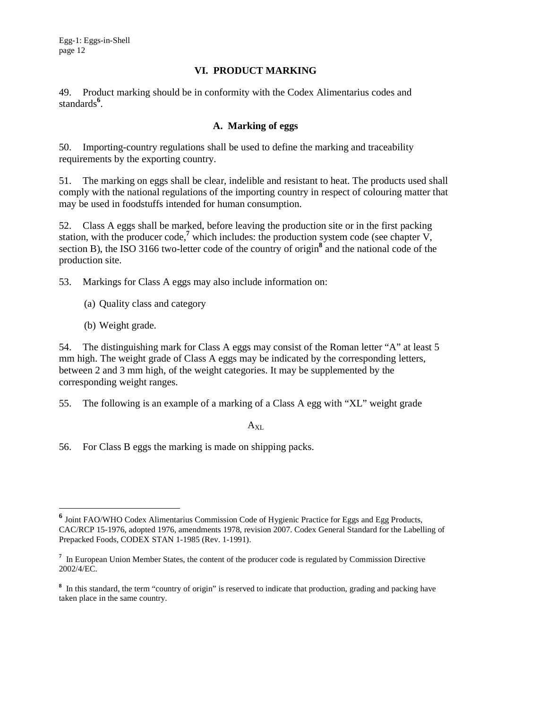Egg-1: Eggs-in-Shell page 12

#### **VI. PRODUCT MARKING**

49. Product marking should be in conformity with the Codex Alimentarius codes and standards**<sup>6</sup>** .

# **A. Marking of eggs**

50. Importing-country regulations shall be used to define the marking and traceability requirements by the exporting country.

51. The marking on eggs shall be clear, indelible and resistant to heat. The products used shall comply with the national regulations of the importing country in respect of colouring matter that may be used in foodstuffs intended for human consumption.

52. Class A eggs shall be marked, before leaving the production site or in the first packing station, with the producer code,<sup>7</sup> which includes: the production system code (see chapter  $V$ , section B), the ISO 3166 two-letter code of the country of origin<sup>8</sup> and the national code of the production site.

53. Markings for Class A eggs may also include information on:

- (a) Quality class and category
- (b) Weight grade.

-

54. The distinguishing mark for Class A eggs may consist of the Roman letter "A" at least 5 mm high. The weight grade of Class A eggs may be indicated by the corresponding letters, between 2 and 3 mm high, of the weight categories. It may be supplemented by the corresponding weight ranges.

55. The following is an example of a marking of a Class A egg with "XL" weight grade

 $A_{XL}$ 

56. For Class B eggs the marking is made on shipping packs.

**<sup>6</sup>** Joint FAO/WHO Codex Alimentarius Commission Code of Hygienic Practice for Eggs and Egg Products, CAC/RCP 15-1976, adopted 1976, amendments 1978, revision 2007. Codex General Standard for the Labelling of Prepacked Foods, CODEX STAN 1-1985 (Rev. 1-1991).

<sup>&</sup>lt;sup>7</sup> In European Union Member States, the content of the producer code is regulated by Commission Directive 2002/4/EC.

<sup>&</sup>lt;sup>8</sup> In this standard, the term "country of origin" is reserved to indicate that production, grading and packing have taken place in the same country.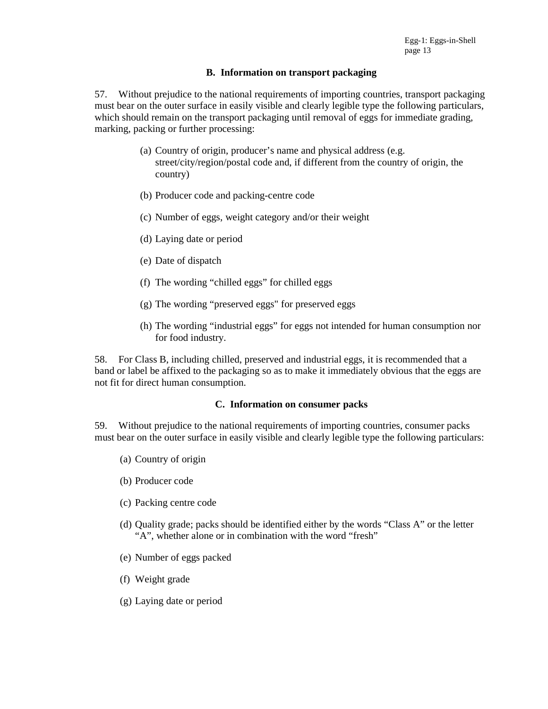#### **B. Information on transport packaging**

57. Without prejudice to the national requirements of importing countries, transport packaging must bear on the outer surface in easily visible and clearly legible type the following particulars, which should remain on the transport packaging until removal of eggs for immediate grading, marking, packing or further processing:

- (a) Country of origin, producer's name and physical address (e.g. street/city/region/postal code and, if different from the country of origin, the country)
- (b) Producer code and packing-centre code
- (c) Number of eggs, weight category and/or their weight
- (d) Laying date or period
- (e) Date of dispatch
- (f) The wording "chilled eggs" for chilled eggs
- (g) The wording "preserved eggs" for preserved eggs
- (h) The wording "industrial eggs" for eggs not intended for human consumption nor for food industry.

58. For Class B, including chilled, preserved and industrial eggs, it is recommended that a band or label be affixed to the packaging so as to make it immediately obvious that the eggs are not fit for direct human consumption.

#### **C. Information on consumer packs**

59. Without prejudice to the national requirements of importing countries, consumer packs must bear on the outer surface in easily visible and clearly legible type the following particulars:

- (a) Country of origin
- (b) Producer code
- (c) Packing centre code
- (d) Quality grade; packs should be identified either by the words "Class A" or the letter "A", whether alone or in combination with the word "fresh"
- (e) Number of eggs packed
- (f) Weight grade
- (g) Laying date or period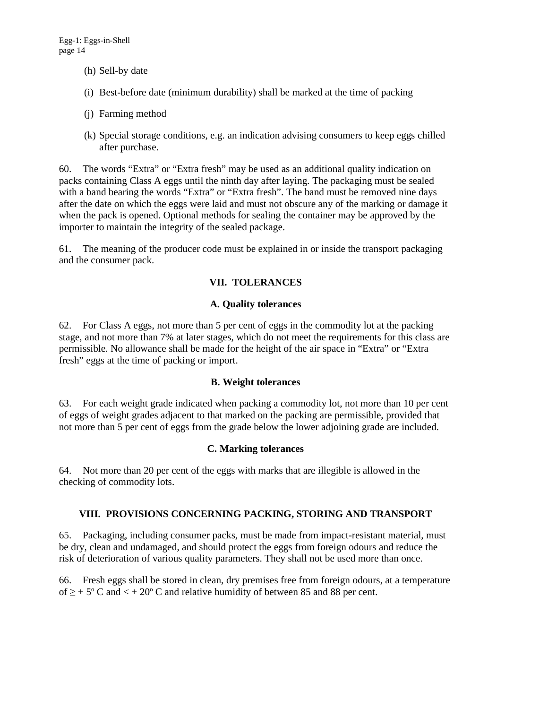- (h) Sell-by date
- (i) Best-before date (minimum durability) shall be marked at the time of packing
- (j) Farming method
- (k) Special storage conditions, e.g. an indication advising consumers to keep eggs chilled after purchase.

60. The words "Extra" or "Extra fresh" may be used as an additional quality indication on packs containing Class A eggs until the ninth day after laying. The packaging must be sealed with a band bearing the words "Extra" or "Extra fresh". The band must be removed nine days after the date on which the eggs were laid and must not obscure any of the marking or damage it when the pack is opened. Optional methods for sealing the container may be approved by the importer to maintain the integrity of the sealed package.

61. The meaning of the producer code must be explained in or inside the transport packaging and the consumer pack.

# **VII. TOLERANCES**

# **A. Quality tolerances**

62. For Class A eggs, not more than 5 per cent of eggs in the commodity lot at the packing stage, and not more than 7% at later stages, which do not meet the requirements for this class are permissible. No allowance shall be made for the height of the air space in "Extra" or "Extra fresh" eggs at the time of packing or import.

# **B. Weight tolerances**

63. For each weight grade indicated when packing a commodity lot, not more than 10 per cent of eggs of weight grades adjacent to that marked on the packing are permissible, provided that not more than 5 per cent of eggs from the grade below the lower adjoining grade are included.

#### **C. Marking tolerances**

64. Not more than 20 per cent of the eggs with marks that are illegible is allowed in the checking of commodity lots.

# **VIII. PROVISIONS CONCERNING PACKING, STORING AND TRANSPORT**

65. Packaging, including consumer packs, must be made from impact-resistant material, must be dry, clean and undamaged, and should protect the eggs from foreign odours and reduce the risk of deterioration of various quality parameters. They shall not be used more than once.

66. Fresh eggs shall be stored in clean, dry premises free from foreign odours, at a temperature of  $\ge$  + 5° C and  $\lt$  + 20° C and relative humidity of between 85 and 88 per cent.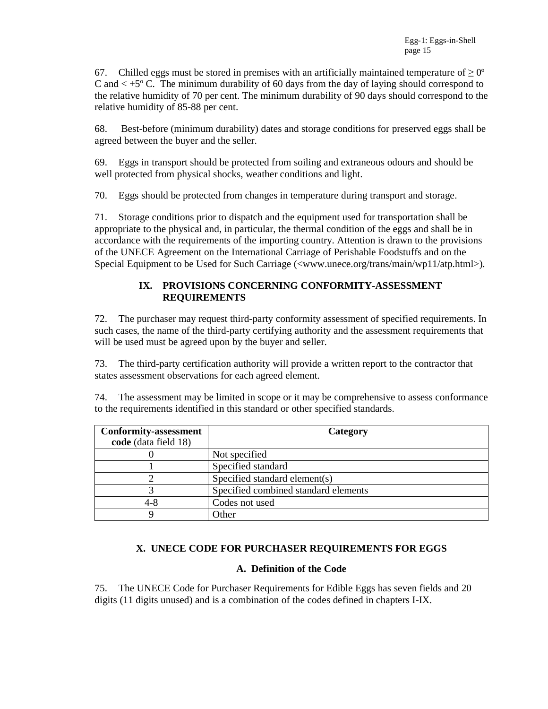67. Chilled eggs must be stored in premises with an artificially maintained temperature of  $\geq 0^{\circ}$ C and  $\lt$  +5 $\degree$  C. The minimum durability of 60 days from the day of laying should correspond to the relative humidity of 70 per cent. The minimum durability of 90 days should correspond to the relative humidity of 85-88 per cent.

68. Best-before (minimum durability) dates and storage conditions for preserved eggs shall be agreed between the buyer and the seller.

69. Eggs in transport should be protected from soiling and extraneous odours and should be well protected from physical shocks, weather conditions and light.

70. Eggs should be protected from changes in temperature during transport and storage.

71. Storage conditions prior to dispatch and the equipment used for transportation shall be appropriate to the physical and, in particular, the thermal condition of the eggs and shall be in accordance with the requirements of the importing country. Attention is drawn to the provisions of the UNECE Agreement on the International Carriage of Perishable Foodstuffs and on the Special Equipment to be Used for Such Carriage (<www.unece.org/trans/main/wp11/atp.html>).

# **IX. PROVISIONS CONCERNING CONFORMITY-ASSESSMENT REQUIREMENTS**

72. The purchaser may request third-party conformity assessment of specified requirements. In such cases, the name of the third-party certifying authority and the assessment requirements that will be used must be agreed upon by the buyer and seller.

73. The third-party certification authority will provide a written report to the contractor that states assessment observations for each agreed element.

74. The assessment may be limited in scope or it may be comprehensive to assess conformance to the requirements identified in this standard or other specified standards.

| <b>Conformity-assessment</b> | Category                             |
|------------------------------|--------------------------------------|
| code (data field 18)         |                                      |
|                              | Not specified                        |
|                              | Specified standard                   |
|                              | Specified standard element(s)        |
|                              | Specified combined standard elements |
| 4-8                          | Codes not used                       |
|                              | <b>Other</b>                         |

# **X. UNECE CODE FOR PURCHASER REQUIREMENTS FOR EGGS**

#### **A. Definition of the Code**

75. The UNECE Code for Purchaser Requirements for Edible Eggs has seven fields and 20 digits (11 digits unused) and is a combination of the codes defined in chapters I-IX.